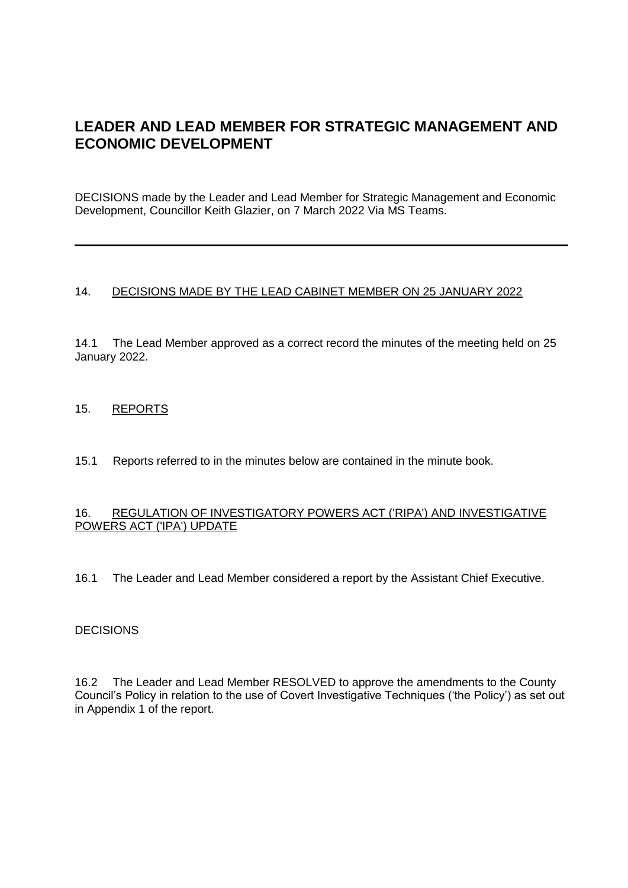# **LEADER AND LEAD MEMBER FOR STRATEGIC MANAGEMENT AND ECONOMIC DEVELOPMENT**

DECISIONS made by the Leader and Lead Member for Strategic Management and Economic Development, Councillor Keith Glazier, on 7 March 2022 Via MS Teams.

## 14. DECISIONS MADE BY THE LEAD CABINET MEMBER ON 25 JANUARY 2022

14.1 The Lead Member approved as a correct record the minutes of the meeting held on 25 January 2022.

### 15. REPORTS

15.1 Reports referred to in the minutes below are contained in the minute book.

#### 16. REGULATION OF INVESTIGATORY POWERS ACT ('RIPA') AND INVESTIGATIVE POWERS ACT ('IPA') UPDATE

16.1 The Leader and Lead Member considered a report by the Assistant Chief Executive.

#### DECISIONS

16.2 The Leader and Lead Member RESOLVED to approve the amendments to the County Council's Policy in relation to the use of Covert Investigative Techniques ('the Policy') as set out in Appendix 1 of the report.